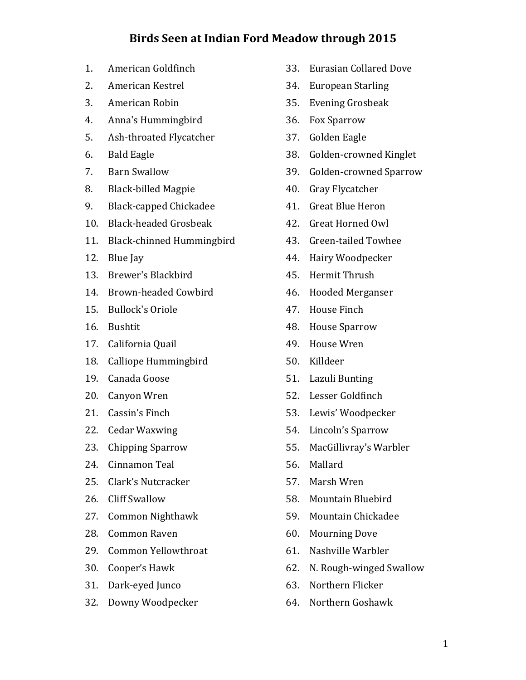## Birds Seen at Indian Ford Meadow through 2015

- 1. American Goldfinch
- 2. American Kestrel
- 3. American Robin
- 4. Anna's Hummingbird
- 5. Ash-throated Flycatcher
- 6. Bald Eagle
- 7. Barn Swallow
- 8. Black-billed Magpie
- 9. Black-capped Chickadee
- 10. Black-headed Grosbeak
- 11. Black-chinned Hummingbird
- 12. Blue Jay
- 13. Brewer's Blackbird
- 14. Brown-headed Cowbird
- 15. Bullock's Oriole
- 16. Bushtit
- 17. California Quail
- 18. Calliope Hummingbird
- 19. Canada Goose
- 20. Canyon Wren
- 21. Cassin's Finch
- 22. Cedar Waxwing
- 23. Chipping Sparrow
- 24. Cinnamon Teal
- 25. Clark's Nutcracker
- 26. Cliff Swallow
- 27. Common Nighthawk
- 28. Common Raven
- 29. Common Yellowthroat
- 30. Cooper's Hawk
- 31. Dark-eyed Junco
- 32. Downy Woodpecker
- 33. Eurasian Collared Dove
- 34. European Starling
- 35. Evening Grosbeak
- 36. Fox Sparrow
- 37. Golden Eagle
- 38. Golden-crowned Kinglet
- 39. Golden-crowned Sparrow
- 40. Gray Flycatcher
- 41. Great Blue Heron
- 42. Great Horned Owl
- 43. Green-tailed Towhee
- 44. Hairy Woodpecker
- 45. Hermit Thrush
- 46. Hooded Merganser
- 47. House Finch
- 48. House Sparrow
- 49. House Wren
- 50. Killdeer
- 51. Lazuli Bunting
- 52. Lesser Goldfinch
- 53. Lewis' Woodpecker
- 54. Lincoln's Sparrow
- 55. MacGillivray's Warbler
- 56. Mallard
- 57. Marsh Wren
- 58. Mountain Bluebird
- 59. Mountain Chickadee
- 60. Mourning Dove
- 61. Nashville Warbler
- 62. N. Rough-winged Swallow
- 63. Northern Flicker
- 64. Northern Goshawk